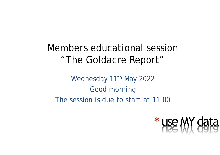Members educational session "The Goldacre Report"

Wednesday 11<sup>th</sup> May 2022 Good morning The session is due to start at 11:00

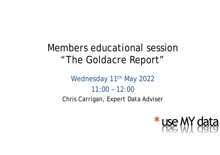#### Members educational session "The Goldacre Report"

#### Wednesday 11<sup>th</sup> May 2022 11:00 – 12:00 Chris Carrigan, Expert Data Adviser

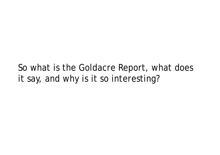So what is the Goldacre Report, what does it say, and why is it so interesting?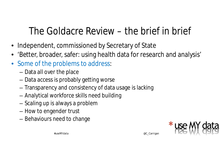## The Goldacre Review – the brief in brief

- Independent, commissioned by Secretary of State
- 'Better, broader, safer: using health data for research and analysis'
- Some of the problems to address:
	- Data all over the place
	- Data access is probably getting worse
	- Transparency and consistency of data usage is lacking
	- Analytical workforce skills need building
	- Scaling up is always a problem
	- How to engender trust
	- Behaviours need to change

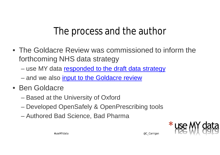#### The process and the author

- The Goldacre Review was commissioned to inform the forthcoming NHS data strategy
	- use MY data responded to the draft data strategy
	- and we also input to the Goldacre review
- Ben Goldacre
	- Based at the University of Oxford
	- Developed OpenSafely & OpenPrescribing tools
	- Authored Bad Science, Bad Pharma

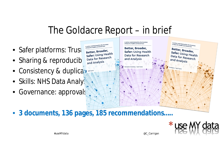#### The Goldacre Report – in brief

A review commissioned by the Secretary

of State for Health and Social Care

Executive Summary / April 2022

- Safer platforms: Trus and social Care by the Secretary<br>
Better, Broader, Safer: Using Health<br>
Safer: Using Health<br>
Data for Research
- Sharing & reproducib<sup>al Data for Research</sup> and Analysis
- Consistency & duplication
- Skills: NHS Data Analysts
- Governance: approvals
- 3 documents, 136 pages, 185 recommendations.....



A review commissioned by the Secretary<br>of State for Health and Social Care

Better, Broader, Safer: Using Health<br>Data for B Data for Research

and Analysis

ary / April 2022

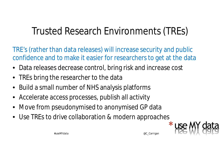# Trusted Research Environments (TREs)

TRE's (rather than data releases) will increase security and public confidence and to make it easier for researchers to get at the data

- Data releases decrease control, bring risk and increase cost
- TREs bring the researcher to the data
- Build a small number of NHS analysis platforms
- Accelerate access processes, publish all activity
- Move from pseudonymised to anonymised GP data
- Use TREs to drive collaboration & modern approaches

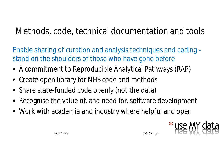#### Methods, code, technical documentation and tools

Enable sharing of curation and analysis techniques and coding stand on the shoulders of those who have gone before

- A commitment to Reproducible Analytical Pathways (RAP)
- Create open library for NHS code and methods
- Share state-funded code openly (not the data)
- Recognise the value of, and need for, software development
- Work with academia and industry where helpful and open

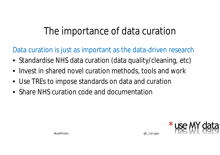### The importance of data curation

Data curation is just as important as the data-driven research

- Standardise NHS data curation (data quality/cleaning, etc)
- Invest in shared novel curation methods, tools and work
- Use TREs to impose standards on data and curation
- Share NHS curation code and documentation

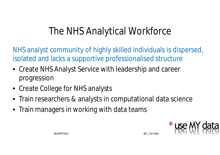# The NHS Analytical Workforce

NHS analyst community of highly skilled individuals is dispersed, isolated and lacks a supportive professionalised structure

- Create NHS Analyst Service with leadership and career progression
- Create College for NHS analysts
- Train researchers & analysts in computational data science
- Train managers in working with data teams

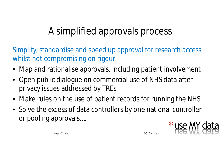# A simplified approvals process

Simplify, standardise and speed up approval for research access whilst not compromising on rigour

- Map and rationalise approvals, including patient involvement
- Open public dialogue on commercial use of NHS data after privacy issues addressed by TREs
- Make rules on the use of patient records for running the NHS
- Solve the excess of data controllers by one national controller or pooling approvals….

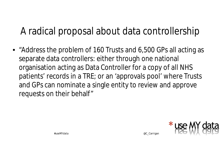## A radical proposal about data controllership

• "Address the problem of 160 Trusts and 6,500 GPs all acting as separate data controllers: either through one national organisation acting as Data Controller for a copy of all NHS patients' records in a TRE; or an 'approvals pool' where Trusts and GPs can nominate a single entity to review and approve requests on their behalf"

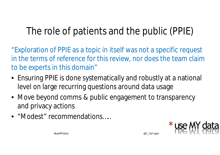# The role of patients and the public (PPIE)

"Exploration of PPIE as a topic in itself was not a specific request in the terms of reference for this review, nor does the team claim to be experts in this domain"

- Ensuring PPIE is done systematically and robustly at a national level on large recurring questions around data usage
- Move beyond comms & public engagement to transparency and privacy actions
- "Modest" recommendations.....

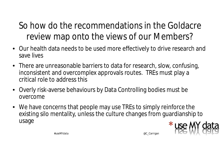#### So how do the recommendations in the Goldacre review map onto the views of our Members?

- Our health data needs to be used more effectively to drive research and save lives
- There are unreasonable barriers to data for research, slow, confusing, inconsistent and overcomplex approvals routes. TREs must play a critical role to address this
- Overly risk-averse behaviours by Data Controlling bodies must be overcome
- We have concerns that people may use TREs to simply reinforce the existing silo mentality, unless the culture changes from guardianship to usage

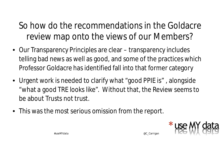#### So how do the recommendations in the Goldacre review map onto the views of our Members?

- Our Transparency Principles are clear transparency includes telling bad news as well as good, and some of the practices which Professor Goldacre has identified fall into that former category
- Urgent work is needed to clarify what "good PPIE is", alongside "what a good TRE looks like". Without that, the Review seems to be about Trusts not trust.
- This was the most serious omission from the report.

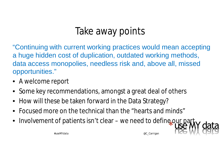## Take away points

"Continuing with current working practices would mean accepting a huge hidden cost of duplication, outdated working methods, data access monopolies, needless risk and, above all, missed opportunities."

- A welcome report
- Some key recommendations, amongst a great deal of others
- How will these be taken forward in the Data Strategy?
- Focused more on the technical than the "hearts and minds"
- Involvement of patients isn't clear we need to define our part